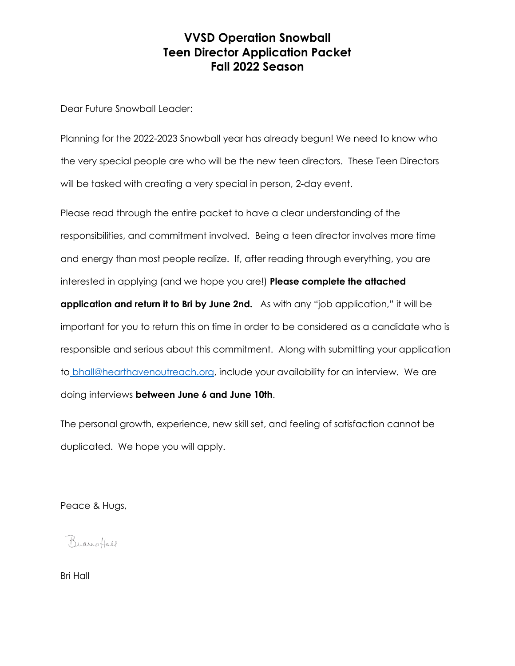Dear Future Snowball Leader:

Planning for the 2022-2023 Snowball year has already begun! We need to know who the very special people are who will be the new teen directors. These Teen Directors will be tasked with creating a very special in person, 2-day event.

Please read through the entire packet to have a clear understanding of the responsibilities, and commitment involved. Being a teen director involves more time and energy than most people realize. If, after reading through everything, you are interested in applying (and we hope you are!) **Please complete the attached application and return it to Bri by June 2nd.** As with any "job application," it will be important for you to return this on time in order to be considered as a candidate who is responsible and serious about this commitment. Along with submitting your application to [bhall@hearthavenoutreach.org,](mailto:bhall@hearthavenoutreach.org) include your availability for an interview. We are doing interviews **between June 6 and June 10th**.

The personal growth, experience, new skill set, and feeling of satisfaction cannot be duplicated. We hope you will apply.

Peace & Hugs,

Buanotall

Bri Hall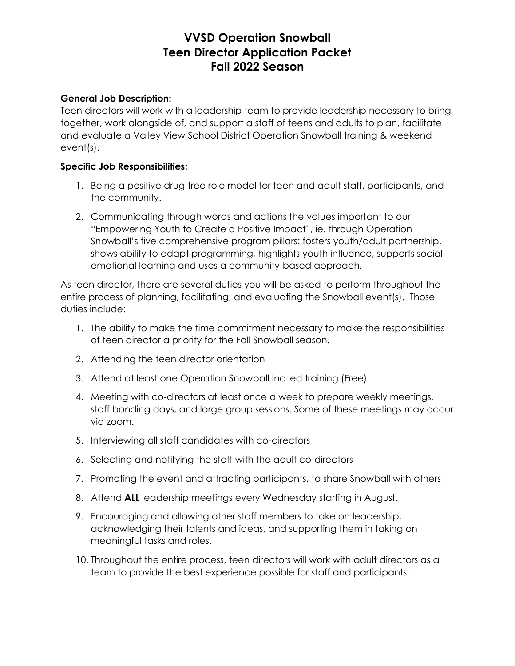#### **General Job Description:**

Teen directors will work with a leadership team to provide leadership necessary to bring together, work alongside of, and support a staff of teens and adults to plan, facilitate and evaluate a Valley View School District Operation Snowball training & weekend event(s).

#### **Specific Job Responsibilities:**

- 1. Being a positive drug-free role model for teen and adult staff, participants, and the community.
- 2. Communicating through words and actions the values important to our "Empowering Youth to Create a Positive Impact", ie. through Operation Snowball's five comprehensive program pillars: fosters youth/adult partnership, shows ability to adapt programming, highlights youth influence, supports social emotional learning and uses a community-based approach.

As teen director, there are several duties you will be asked to perform throughout the entire process of planning, facilitating, and evaluating the Snowball event(s). Those duties include:

- 1. The ability to make the time commitment necessary to make the responsibilities of teen director a priority for the Fall Snowball season.
- 2. Attending the teen director orientation
- 3. Attend at least one Operation Snowball Inc led training (Free)
- 4. Meeting with co-directors at least once a week to prepare weekly meetings, staff bonding days, and large group sessions. Some of these meetings may occur via zoom.
- 5. Interviewing all staff candidates with co-directors
- 6. Selecting and notifying the staff with the adult co-directors
- 7. Promoting the event and attracting participants, to share Snowball with others
- 8. Attend **ALL** leadership meetings every Wednesday starting in August.
- 9. Encouraging and allowing other staff members to take on leadership, acknowledging their talents and ideas, and supporting them in taking on meaningful tasks and roles.
- 10. Throughout the entire process, teen directors will work with adult directors as a team to provide the best experience possible for staff and participants.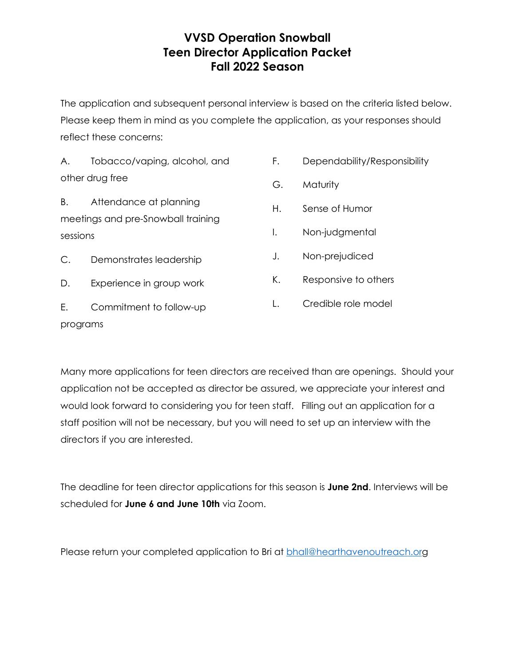The application and subsequent personal interview is based on the criteria listed below. Please keep them in mind as you complete the application, as your responses should reflect these concerns:

A. Tobacco/vaping, alcohol, and other drug free

B. Attendance at planning meetings and pre-Snowball training sessions

C. Demonstrates leadership

D. Experience in group work

E. Commitment to follow-up programs

- F. Dependability/Responsibility
- G. Maturity
- H. Sense of Humor
- I. Non-judgmental
- J. Non-prejudiced
- K. Responsive to others
- L. Credible role model

Many more applications for teen directors are received than are openings. Should your application not be accepted as director be assured, we appreciate your interest and would look forward to considering you for teen staff. Filling out an application for a staff position will not be necessary, but you will need to set up an interview with the directors if you are interested.

The deadline for teen director applications for this season is **June 2nd**. Interviews will be scheduled for **June 6 and June 10th** via Zoom.

Please return your completed application to Bri at [bhall@hearthavenoutreach.org](mailto:bhall@hearthavenoutreach.org)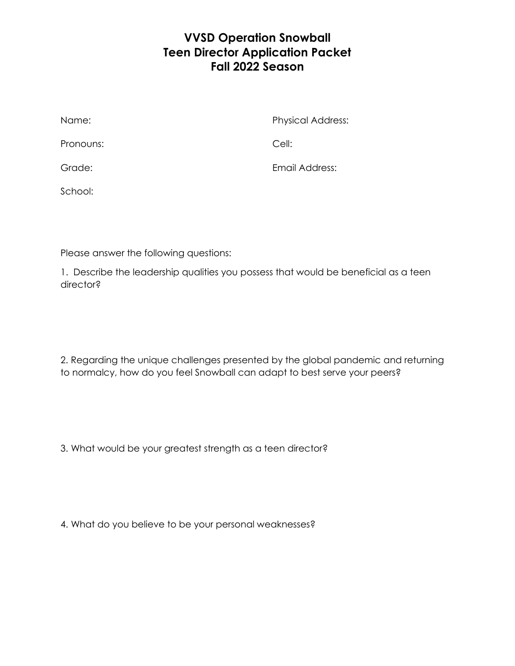| Name:     | <b>Physical Address:</b> |
|-----------|--------------------------|
| Pronouns: | Cell:                    |
| Grade:    | Email Address:           |
| School:   |                          |

Please answer the following questions:

1. Describe the leadership qualities you possess that would be beneficial as a teen director?

2. Regarding the unique challenges presented by the global pandemic and returning to normalcy, how do you feel Snowball can adapt to best serve your peers?

3. What would be your greatest strength as a teen director?

4. What do you believe to be your personal weaknesses?